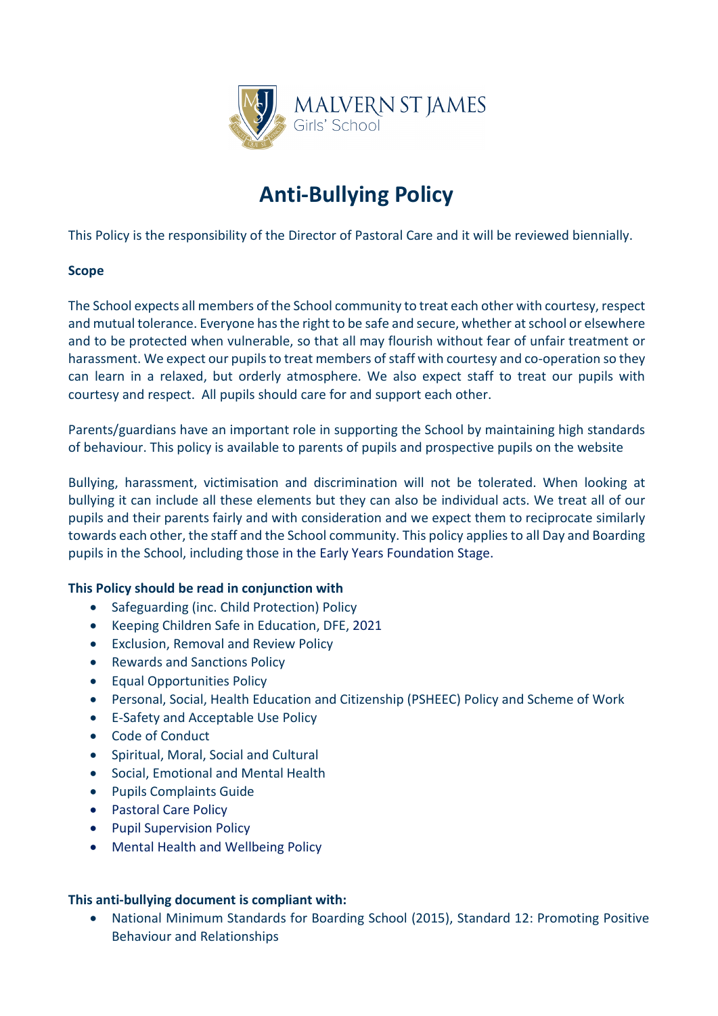

## **Anti-Bullying Policy**

This Policy is the responsibility of the Director of Pastoral Care and it will be reviewed biennially.

#### **Scope**

The School expects all members of the School community to treat each other with courtesy, respect and mutual tolerance. Everyone has the right to be safe and secure, whether at school or elsewhere and to be protected when vulnerable, so that all may flourish without fear of unfair treatment or harassment. We expect our pupils to treat members of staff with courtesy and co-operation so they can learn in a relaxed, but orderly atmosphere. We also expect staff to treat our pupils with courtesy and respect. All pupils should care for and support each other.

Parents/guardians have an important role in supporting the School by maintaining high standards of behaviour. This policy is available to parents of pupils and prospective pupils on the website

Bullying, harassment, victimisation and discrimination will not be tolerated. When looking at bullying it can include all these elements but they can also be individual acts. We treat all of our pupils and their parents fairly and with consideration and we expect them to reciprocate similarly towards each other, the staff and the School community. This policy applies to all Day and Boarding pupils in the School, including those in the Early Years Foundation Stage.

#### **This Policy should be read in conjunction with**

- Safeguarding (inc. Child Protection) Policy
- Keeping Children Safe in Education, DFE, 2021
- Exclusion, Removal and Review Policy
- Rewards and Sanctions Policy
- Equal Opportunities Policy
- Personal, Social, Health Education and Citizenship (PSHEEC) Policy and Scheme of Work
- E-Safety and Acceptable Use Policy
- Code of Conduct
- Spiritual, Moral, Social and Cultural
- Social, Emotional and Mental Health
- Pupils Complaints Guide
- Pastoral Care Policy
- Pupil Supervision Policy
- Mental Health and Wellbeing Policy

#### **This anti-bullying document is compliant with:**

• National Minimum Standards for Boarding School (2015), Standard 12: Promoting Positive Behaviour and Relationships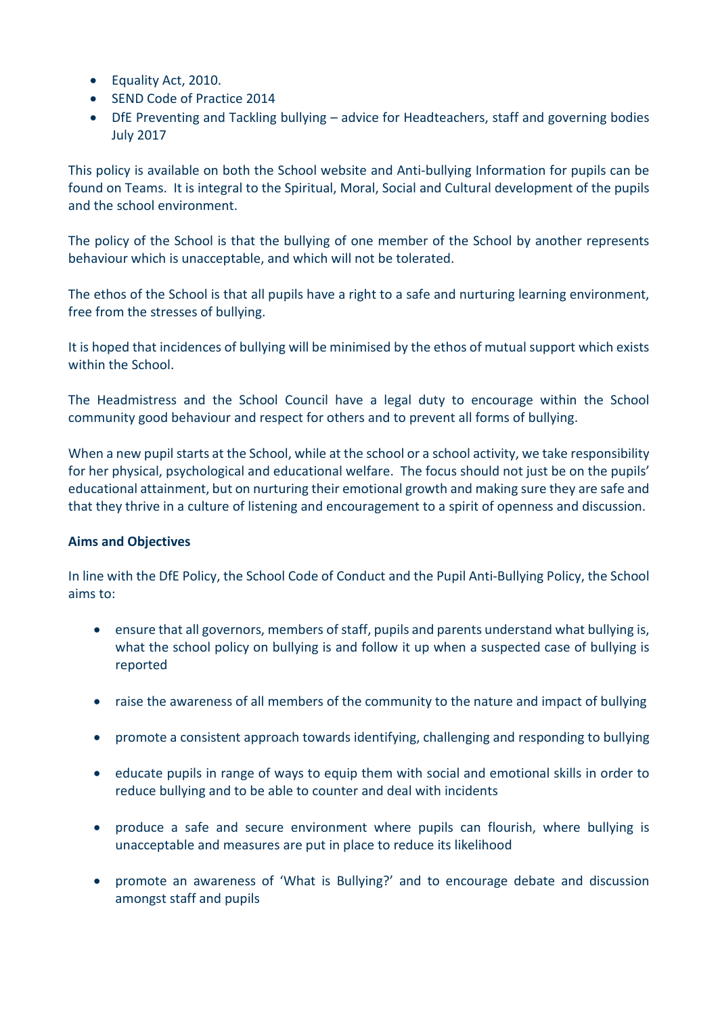- Equality Act, 2010.
- SEND Code of Practice 2014
- DfE Preventing and Tackling bullying advice for Headteachers, staff and governing bodies July 2017

This policy is available on both the School website and Anti-bullying Information for pupils can be found on Teams. It is integral to the Spiritual, Moral, Social and Cultural development of the pupils and the school environment.

The policy of the School is that the bullying of one member of the School by another represents behaviour which is unacceptable, and which will not be tolerated.

The ethos of the School is that all pupils have a right to a safe and nurturing learning environment, free from the stresses of bullying.

It is hoped that incidences of bullying will be minimised by the ethos of mutual support which exists within the School.

The Headmistress and the School Council have a legal duty to encourage within the School community good behaviour and respect for others and to prevent all forms of bullying.

When a new pupil starts at the School, while at the school or a school activity, we take responsibility for her physical, psychological and educational welfare. The focus should not just be on the pupils' educational attainment, but on nurturing their emotional growth and making sure they are safe and that they thrive in a culture of listening and encouragement to a spirit of openness and discussion.

#### **Aims and Objectives**

In line with the DfE Policy, the School Code of Conduct and the Pupil Anti-Bullying Policy, the School aims to:

- ensure that all governors, members of staff, pupils and parents understand what bullying is, what the school policy on bullying is and follow it up when a suspected case of bullying is reported
- raise the awareness of all members of the community to the nature and impact of bullying
- promote a consistent approach towards identifying, challenging and responding to bullying
- educate pupils in range of ways to equip them with social and emotional skills in order to reduce bullying and to be able to counter and deal with incidents
- produce a safe and secure environment where pupils can flourish, where bullying is unacceptable and measures are put in place to reduce its likelihood
- promote an awareness of 'What is Bullying?' and to encourage debate and discussion amongst staff and pupils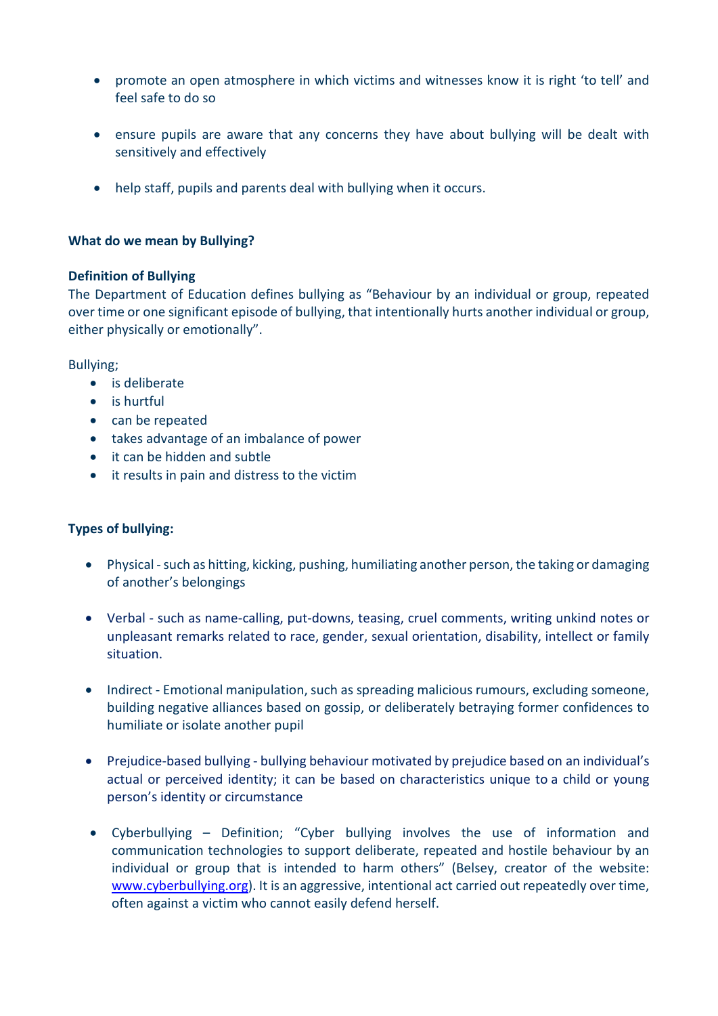- promote an open atmosphere in which victims and witnesses know it is right 'to tell' and feel safe to do so
- ensure pupils are aware that any concerns they have about bullying will be dealt with sensitively and effectively
- help staff, pupils and parents deal with bullying when it occurs.

#### **What do we mean by Bullying?**

#### **Definition of Bullying**

The Department of Education defines bullying as "Behaviour by an individual or group, repeated over time or one significant episode of bullying, that intentionally hurts another individual or group, either physically or emotionally".

Bullying;

- is deliberate
- is hurtful
- can be repeated
- takes advantage of an imbalance of power
- it can be hidden and subtle
- it results in pain and distress to the victim

#### **Types of bullying:**

- Physical -such as hitting, kicking, pushing, humiliating another person, the taking or damaging of another's belongings
- Verbal such as name-calling, put-downs, teasing, cruel comments, writing unkind notes or unpleasant remarks related to race, gender, sexual orientation, disability, intellect or family situation.
- Indirect Emotional manipulation, such as spreading malicious rumours, excluding someone, building negative alliances based on gossip, or deliberately betraying former confidences to humiliate or isolate another pupil
- Prejudice-based bullying bullying behaviour motivated by prejudice based on an individual's actual or perceived identity; it can be based on characteristics unique to a child or young person's identity or circumstance
- Cyberbullying Definition; "Cyber bullying involves the use of information and communication technologies to support deliberate, repeated and hostile behaviour by an individual or group that is intended to harm others" (Belsey, creator of the website: [www.cyberbullying.org\)](https://d.docs.live.net/fda1d326db2eb0de/MSJ/20190523%20GLC/Policies/www.cyberbullying.org). It is an aggressive, intentional act carried out repeatedly over time, often against a victim who cannot easily defend herself.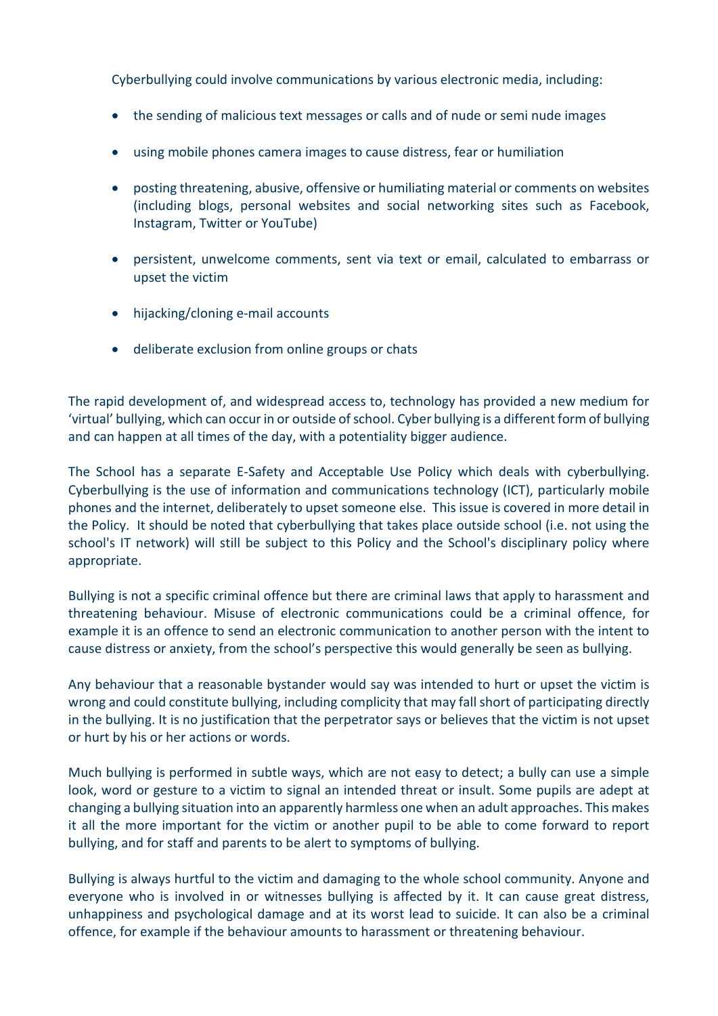Cyberbullying could involve communications by various electronic media, including:

- the sending of malicious text messages or calls and of nude or semi nude images
- using mobile phones camera images to cause distress, fear or humiliation
- posting threatening, abusive, offensive or humiliating material or comments on websites (including blogs, personal websites and social networking sites such as Facebook, Instagram, Twitter or YouTube)
- persistent, unwelcome comments, sent via text or email, calculated to embarrass or upset the victim
- hijacking/cloning e-mail accounts
- deliberate exclusion from online groups or chats

The rapid development of, and widespread access to, technology has provided a new medium for 'virtual' bullying, which can occur in or outside of school. Cyber bullying is a different form of bullying and can happen at all times of the day, with a potentiality bigger audience.

The School has a separate E-Safety and Acceptable Use Policy which deals with cyberbullying. Cyberbullying is the use of information and communications technology (ICT), particularly mobile phones and the internet, deliberately to upset someone else. This issue is covered in more detail in the Policy. It should be noted that cyberbullying that takes place outside school (i.e. not using the school's IT network) will still be subject to this Policy and the School's disciplinary policy where appropriate.

Bullying is not a specific criminal offence but there are criminal laws that apply to harassment and threatening behaviour. Misuse of electronic communications could be a criminal offence, for example it is an offence to send an electronic communication to another person with the intent to cause distress or anxiety, from the school's perspective this would generally be seen as bullying.

Any behaviour that a reasonable bystander would say was intended to hurt or upset the victim is wrong and could constitute bullying, including complicity that may fall short of participating directly in the bullying. It is no justification that the perpetrator says or believes that the victim is not upset or hurt by his or her actions or words.

Much bullying is performed in subtle ways, which are not easy to detect; a bully can use a simple look, word or gesture to a victim to signal an intended threat or insult. Some pupils are adept at changing a bullying situation into an apparently harmless one when an adult approaches. This makes it all the more important for the victim or another pupil to be able to come forward to report bullying, and for staff and parents to be alert to symptoms of bullying.

Bullying is always hurtful to the victim and damaging to the whole school community. Anyone and everyone who is involved in or witnesses bullying is affected by it. It can cause great distress, unhappiness and psychological damage and at its worst lead to suicide. It can also be a criminal offence, for example if the behaviour amounts to harassment or threatening behaviour.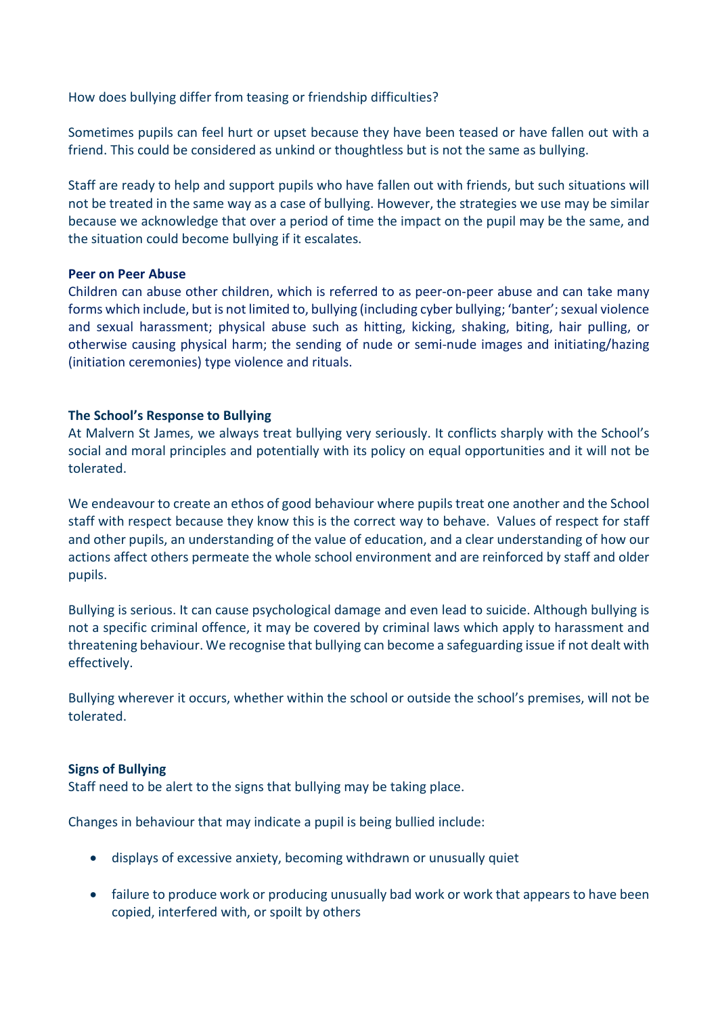How does bullying differ from teasing or friendship difficulties?

Sometimes pupils can feel hurt or upset because they have been teased or have fallen out with a friend. This could be considered as unkind or thoughtless but is not the same as bullying.

Staff are ready to help and support pupils who have fallen out with friends, but such situations will not be treated in the same way as a case of bullying. However, the strategies we use may be similar because we acknowledge that over a period of time the impact on the pupil may be the same, and the situation could become bullying if it escalates.

#### **Peer on Peer Abuse**

Children can abuse other children, which is referred to as peer-on-peer abuse and can take many forms which include, but is not limited to, bullying (including cyber bullying; 'banter'; sexual violence and sexual harassment; physical abuse such as hitting, kicking, shaking, biting, hair pulling, or otherwise causing physical harm; the sending of nude or semi-nude images and initiating/hazing (initiation ceremonies) type violence and rituals.

#### **The School's Response to Bullying**

At Malvern St James, we always treat bullying very seriously. It conflicts sharply with the School's social and moral principles and potentially with its policy on equal opportunities and it will not be tolerated.

We endeavour to create an ethos of good behaviour where pupils treat one another and the School staff with respect because they know this is the correct way to behave. Values of respect for staff and other pupils, an understanding of the value of education, and a clear understanding of how our actions affect others permeate the whole school environment and are reinforced by staff and older pupils.

Bullying is serious. It can cause psychological damage and even lead to suicide. Although bullying is not a specific criminal offence, it may be covered by criminal laws which apply to harassment and threatening behaviour. We recognise that bullying can become a safeguarding issue if not dealt with effectively.

Bullying wherever it occurs, whether within the school or outside the school's premises, will not be tolerated.

#### **Signs of Bullying**

Staff need to be alert to the signs that bullying may be taking place.

Changes in behaviour that may indicate a pupil is being bullied include:

- displays of excessive anxiety, becoming withdrawn or unusually quiet
- failure to produce work or producing unusually bad work or work that appears to have been copied, interfered with, or spoilt by others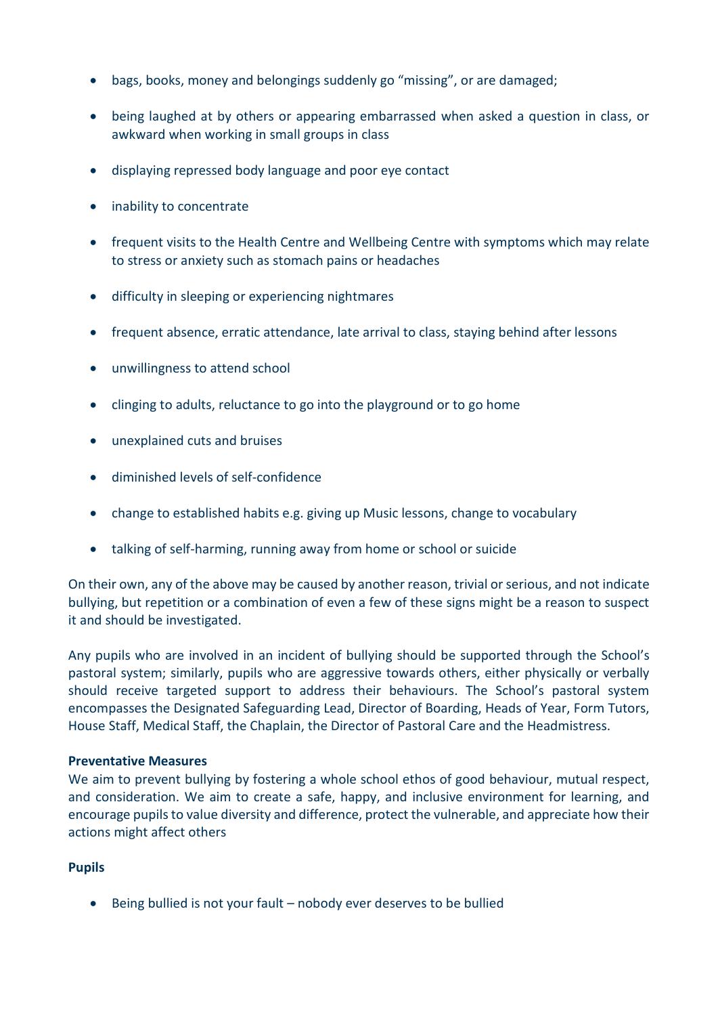- bags, books, money and belongings suddenly go "missing", or are damaged;
- being laughed at by others or appearing embarrassed when asked a question in class, or awkward when working in small groups in class
- displaying repressed body language and poor eye contact
- inability to concentrate
- frequent visits to the Health Centre and Wellbeing Centre with symptoms which may relate to stress or anxiety such as stomach pains or headaches
- difficulty in sleeping or experiencing nightmares
- frequent absence, erratic attendance, late arrival to class, staying behind after lessons
- unwillingness to attend school
- clinging to adults, reluctance to go into the playground or to go home
- unexplained cuts and bruises
- diminished levels of self-confidence
- change to established habits e.g. giving up Music lessons, change to vocabulary
- talking of self-harming, running away from home or school or suicide

On their own, any of the above may be caused by another reason, trivial or serious, and not indicate bullying, but repetition or a combination of even a few of these signs might be a reason to suspect it and should be investigated.

Any pupils who are involved in an incident of bullying should be supported through the School's pastoral system; similarly, pupils who are aggressive towards others, either physically or verbally should receive targeted support to address their behaviours. The School's pastoral system encompasses the Designated Safeguarding Lead, Director of Boarding, Heads of Year, Form Tutors, House Staff, Medical Staff, the Chaplain, the Director of Pastoral Care and the Headmistress.

#### **Preventative Measures**

We aim to prevent bullying by fostering a whole school ethos of good behaviour, mutual respect, and consideration. We aim to create a safe, happy, and inclusive environment for learning, and encourage pupils to value diversity and difference, protect the vulnerable, and appreciate how their actions might affect others

#### **Pupils**

• Being bullied is not your fault – nobody ever deserves to be bullied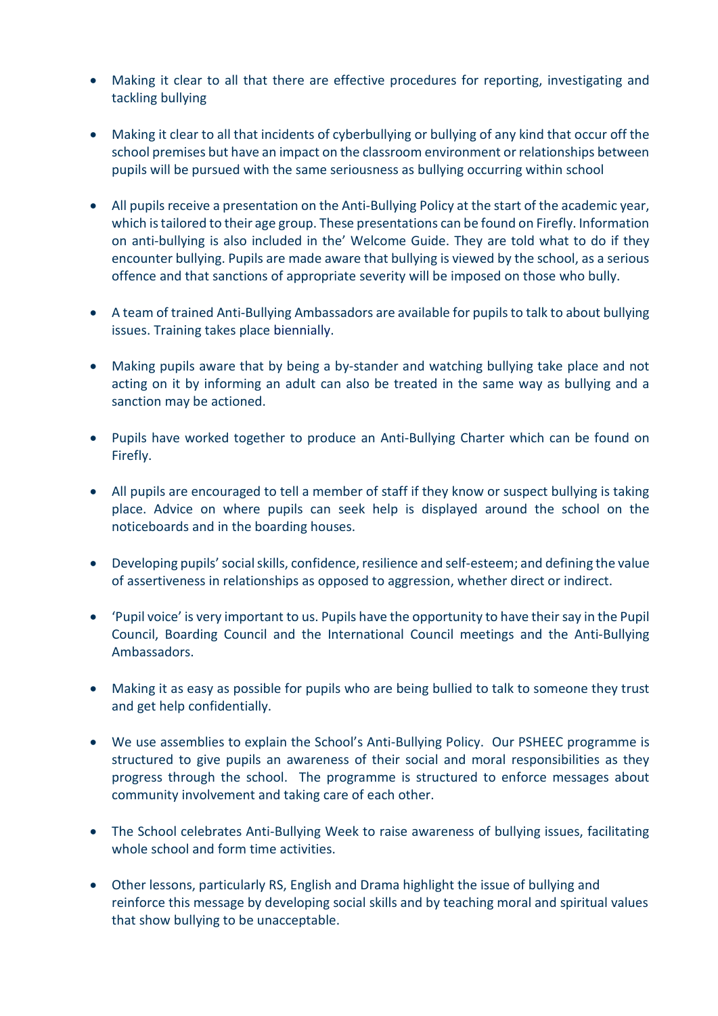- Making it clear to all that there are effective procedures for reporting, investigating and tackling bullying
- Making it clear to all that incidents of cyberbullying or bullying of any kind that occur off the school premises but have an impact on the classroom environment or relationships between pupils will be pursued with the same seriousness as bullying occurring within school
- All pupils receive a presentation on the Anti-Bullying Policy at the start of the academic year, which is tailored to their age group. These presentations can be found on Firefly. Information on anti-bullying is also included in the' Welcome Guide. They are told what to do if they encounter bullying. Pupils are made aware that bullying is viewed by the school, as a serious offence and that sanctions of appropriate severity will be imposed on those who bully.
- A team of trained Anti-Bullying Ambassadors are available for pupils to talk to about bullying issues. Training takes place biennially.
- Making pupils aware that by being a by-stander and watching bullying take place and not acting on it by informing an adult can also be treated in the same way as bullying and a sanction may be actioned.
- Pupils have worked together to produce an Anti-Bullying Charter which can be found on Firefly.
- All pupils are encouraged to tell a member of staff if they know or suspect bullying is taking place. Advice on where pupils can seek help is displayed around the school on the noticeboards and in the boarding houses.
- Developing pupils' social skills, confidence, resilience and self-esteem; and defining the value of assertiveness in relationships as opposed to aggression, whether direct or indirect.
- 'Pupil voice' is very important to us. Pupils have the opportunity to have their say in the Pupil Council, Boarding Council and the International Council meetings and the Anti-Bullying Ambassadors.
- Making it as easy as possible for pupils who are being bullied to talk to someone they trust and get help confidentially.
- We use assemblies to explain the School's Anti-Bullying Policy. Our PSHEEC programme is structured to give pupils an awareness of their social and moral responsibilities as they progress through the school. The programme is structured to enforce messages about community involvement and taking care of each other.
- The School celebrates Anti-Bullying Week to raise awareness of bullying issues, facilitating whole school and form time activities.
- Other lessons, particularly RS, English and Drama highlight the issue of bullying and reinforce this message by developing social skills and by teaching moral and spiritual values that show bullying to be unacceptable.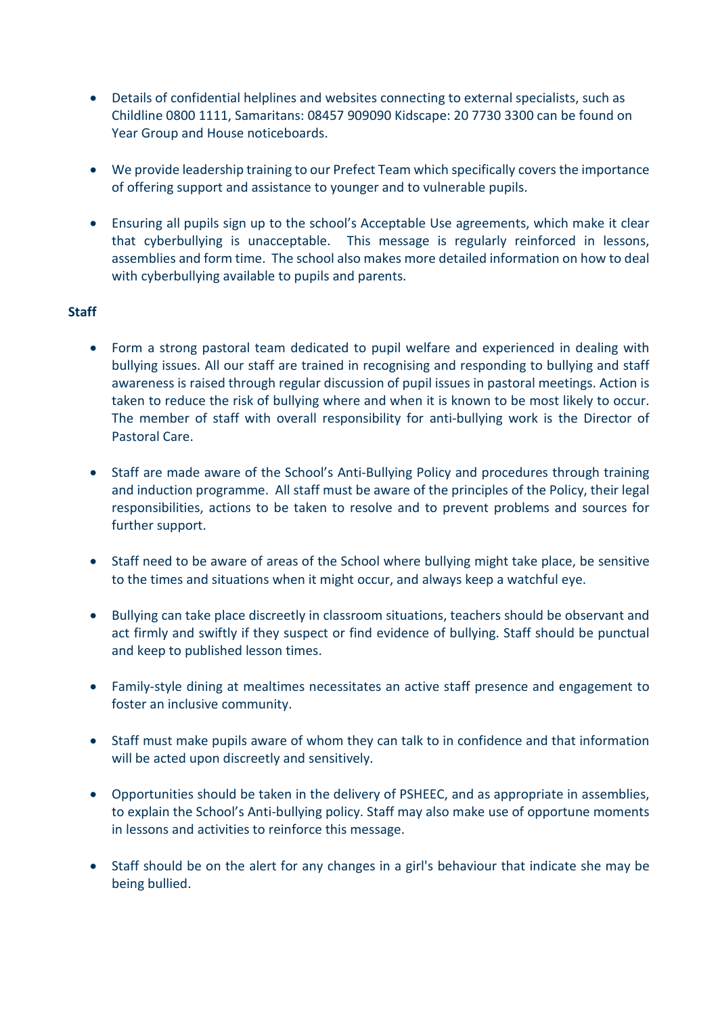- Details of confidential helplines and websites connecting to external specialists, such as Childline 0800 1111, Samaritans: 08457 909090 Kidscape: 20 7730 3300 can be found on Year Group and House noticeboards.
- We provide leadership training to our Prefect Team which specifically covers the importance of offering support and assistance to younger and to vulnerable pupils.
- Ensuring all pupils sign up to the school's Acceptable Use agreements, which make it clear that cyberbullying is unacceptable. This message is regularly reinforced in lessons, assemblies and form time. The school also makes more detailed information on how to deal with cyberbullying available to pupils and parents.

#### **Staff**

- Form a strong pastoral team dedicated to pupil welfare and experienced in dealing with bullying issues. All our staff are trained in recognising and responding to bullying and staff awareness is raised through regular discussion of pupil issues in pastoral meetings. Action is taken to reduce the risk of bullying where and when it is known to be most likely to occur. The member of staff with overall responsibility for anti-bullying work is the Director of Pastoral Care.
- Staff are made aware of the School's Anti-Bullying Policy and procedures through training and induction programme. All staff must be aware of the principles of the Policy, their legal responsibilities, actions to be taken to resolve and to prevent problems and sources for further support.
- Staff need to be aware of areas of the School where bullying might take place, be sensitive to the times and situations when it might occur, and always keep a watchful eye.
- Bullying can take place discreetly in classroom situations, teachers should be observant and act firmly and swiftly if they suspect or find evidence of bullying. Staff should be punctual and keep to published lesson times.
- Family-style dining at mealtimes necessitates an active staff presence and engagement to foster an inclusive community.
- Staff must make pupils aware of whom they can talk to in confidence and that information will be acted upon discreetly and sensitively.
- Opportunities should be taken in the delivery of PSHEEC, and as appropriate in assemblies, to explain the School's Anti-bullying policy. Staff may also make use of opportune moments in lessons and activities to reinforce this message.
- Staff should be on the alert for any changes in a girl's behaviour that indicate she may be being bullied.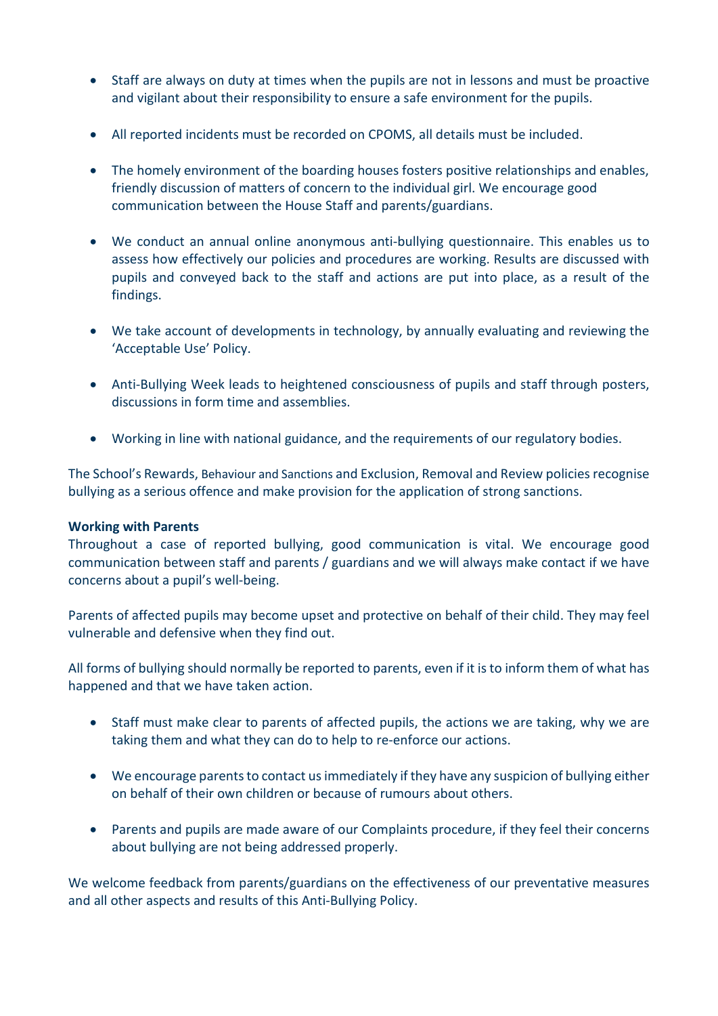- Staff are always on duty at times when the pupils are not in lessons and must be proactive and vigilant about their responsibility to ensure a safe environment for the pupils.
- All reported incidents must be recorded on CPOMS, all details must be included.
- The homely environment of the boarding houses fosters positive relationships and enables, friendly discussion of matters of concern to the individual girl. We encourage good communication between the House Staff and parents/guardians.
- We conduct an annual online anonymous anti-bullying questionnaire. This enables us to assess how effectively our policies and procedures are working. Results are discussed with pupils and conveyed back to the staff and actions are put into place, as a result of the findings.
- We take account of developments in technology, by annually evaluating and reviewing the 'Acceptable Use' Policy.
- Anti-Bullying Week leads to heightened consciousness of pupils and staff through posters, discussions in form time and assemblies.
- Working in line with national guidance, and the requirements of our regulatory bodies.

The School's Rewards, Behaviour and Sanctions and Exclusion, Removal and Review policies recognise bullying as a serious offence and make provision for the application of strong sanctions.

#### **Working with Parents**

Throughout a case of reported bullying, good communication is vital. We encourage good communication between staff and parents / guardians and we will always make contact if we have concerns about a pupil's well-being.

Parents of affected pupils may become upset and protective on behalf of their child. They may feel vulnerable and defensive when they find out.

All forms of bullying should normally be reported to parents, even if it is to inform them of what has happened and that we have taken action.

- Staff must make clear to parents of affected pupils, the actions we are taking, why we are taking them and what they can do to help to re-enforce our actions.
- We encourage parents to contact us immediately if they have any suspicion of bullying either on behalf of their own children or because of rumours about others.
- Parents and pupils are made aware of our Complaints procedure, if they feel their concerns about bullying are not being addressed properly.

We welcome feedback from parents/guardians on the effectiveness of our preventative measures and all other aspects and results of this Anti-Bullying Policy.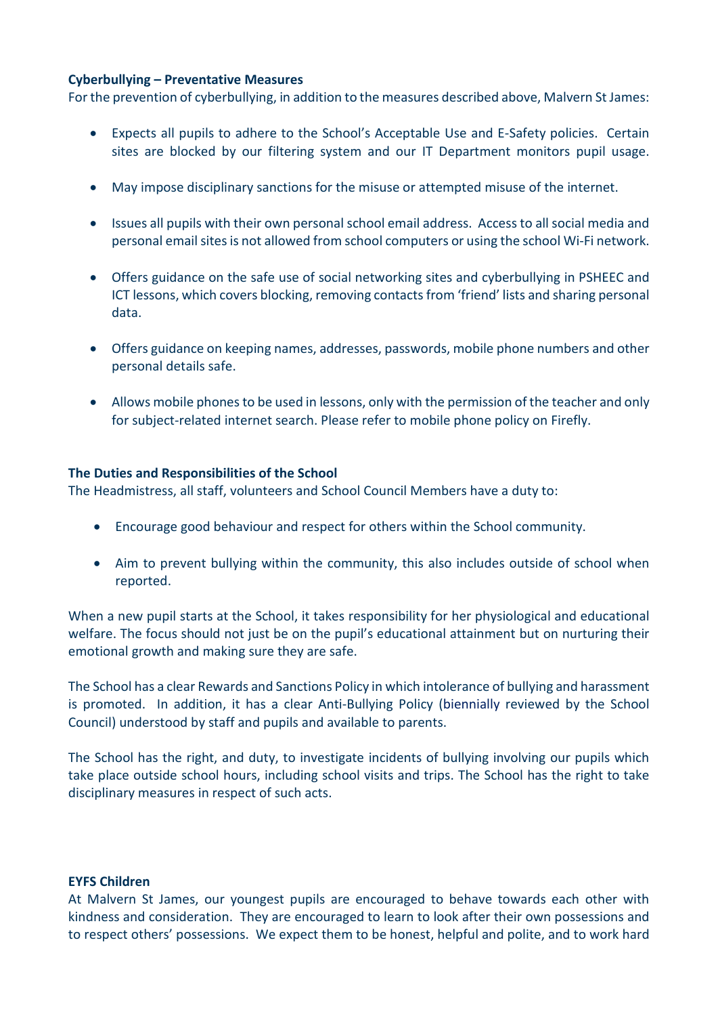#### **Cyberbullying – Preventative Measures**

For the prevention of cyberbullying, in addition to the measures described above, Malvern St James:

- Expects all pupils to adhere to the School's Acceptable Use and E-Safety policies. Certain sites are blocked by our filtering system and our IT Department monitors pupil usage.
- May impose disciplinary sanctions for the misuse or attempted misuse of the internet.
- Issues all pupils with their own personal school email address. Access to all social media and personal email sites is not allowed from school computers or using the school Wi-Fi network.
- Offers guidance on the safe use of social networking sites and cyberbullying in PSHEEC and ICT lessons, which covers blocking, removing contacts from 'friend' lists and sharing personal data.
- Offers guidance on keeping names, addresses, passwords, mobile phone numbers and other personal details safe.
- Allows mobile phones to be used in lessons, only with the permission of the teacher and only for subject-related internet search. Please refer to mobile phone policy on Firefly.

#### **The Duties and Responsibilities of the School**

The Headmistress, all staff, volunteers and School Council Members have a duty to:

- Encourage good behaviour and respect for others within the School community.
- Aim to prevent bullying within the community, this also includes outside of school when reported.

When a new pupil starts at the School, it takes responsibility for her physiological and educational welfare. The focus should not just be on the pupil's educational attainment but on nurturing their emotional growth and making sure they are safe.

The School has a clear Rewards and Sanctions Policy in which intolerance of bullying and harassment is promoted. In addition, it has a clear Anti-Bullying Policy (biennially reviewed by the School Council) understood by staff and pupils and available to parents.

The School has the right, and duty, to investigate incidents of bullying involving our pupils which take place outside school hours, including school visits and trips. The School has the right to take disciplinary measures in respect of such acts.

#### **EYFS Children**

At Malvern St James, our youngest pupils are encouraged to behave towards each other with kindness and consideration. They are encouraged to learn to look after their own possessions and to respect others' possessions. We expect them to be honest, helpful and polite, and to work hard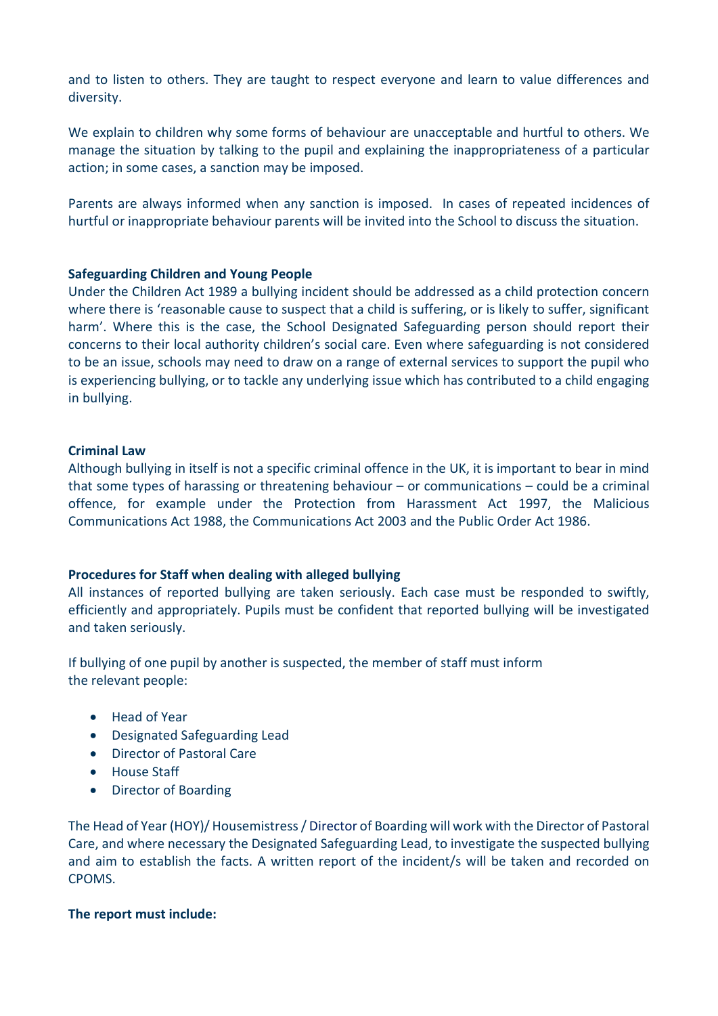and to listen to others. They are taught to respect everyone and learn to value differences and diversity.

We explain to children why some forms of behaviour are unacceptable and hurtful to others. We manage the situation by talking to the pupil and explaining the inappropriateness of a particular action; in some cases, a sanction may be imposed.

Parents are always informed when any sanction is imposed. In cases of repeated incidences of hurtful or inappropriate behaviour parents will be invited into the School to discuss the situation.

#### **Safeguarding Children and Young People**

Under the Children Act 1989 a bullying incident should be addressed as a child protection concern where there is 'reasonable cause to suspect that a child is suffering, or is likely to suffer, significant harm'. Where this is the case, the School Designated Safeguarding person should report their concerns to their local authority children's social care. Even where safeguarding is not considered to be an issue, schools may need to draw on a range of external services to support the pupil who is experiencing bullying, or to tackle any underlying issue which has contributed to a child engaging in bullying.

#### **Criminal Law**

Although bullying in itself is not a specific criminal offence in the UK, it is important to bear in mind that some types of harassing or threatening behaviour – or communications – could be a criminal offence, for example under the Protection from Harassment Act 1997, the Malicious Communications Act 1988, the Communications Act 2003 and the Public Order Act 1986.

#### **Procedures for Staff when dealing with alleged bullying**

All instances of reported bullying are taken seriously. Each case must be responded to swiftly, efficiently and appropriately. Pupils must be confident that reported bullying will be investigated and taken seriously.

If bullying of one pupil by another is suspected, the member of staff must inform the relevant people:

- Head of Year
- Designated Safeguarding Lead
- Director of Pastoral Care
- House Staff
- Director of Boarding

The Head of Year (HOY)/ Housemistress / Director of Boarding will work with the Director of Pastoral Care, and where necessary the Designated Safeguarding Lead, to investigate the suspected bullying and aim to establish the facts. A written report of the incident/s will be taken and recorded on CPOMS.

#### **The report must include:**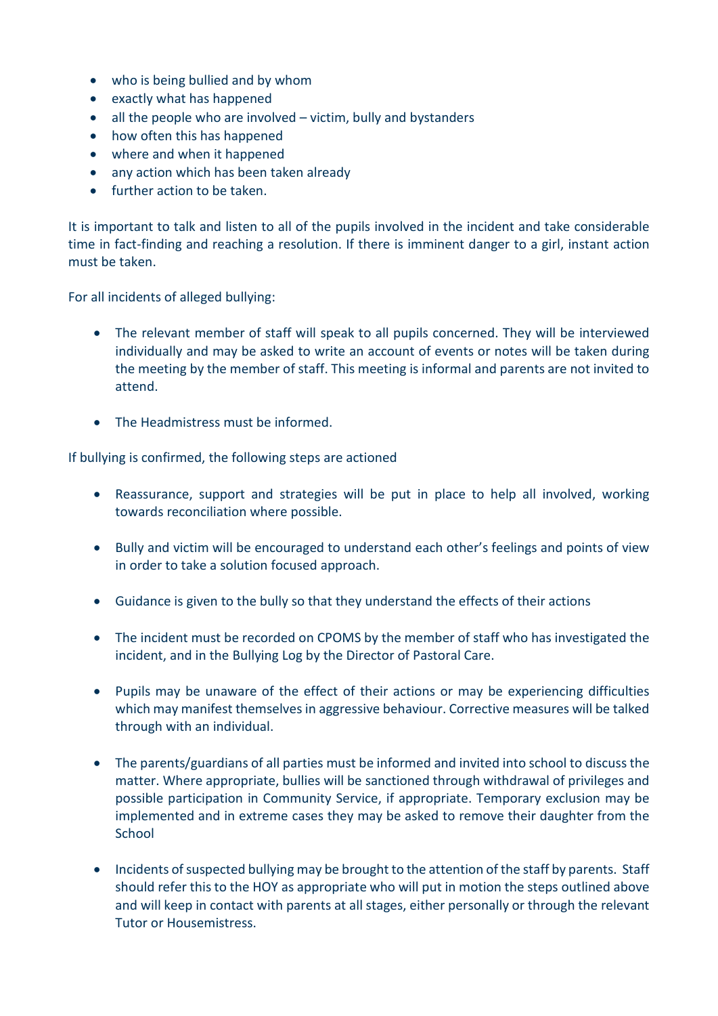- who is being bullied and by whom
- exactly what has happened
- all the people who are involved victim, bully and bystanders
- how often this has happened
- where and when it happened
- any action which has been taken already
- further action to be taken.

It is important to talk and listen to all of the pupils involved in the incident and take considerable time in fact-finding and reaching a resolution. If there is imminent danger to a girl, instant action must be taken.

For all incidents of alleged bullying:

- The relevant member of staff will speak to all pupils concerned. They will be interviewed individually and may be asked to write an account of events or notes will be taken during the meeting by the member of staff. This meeting is informal and parents are not invited to attend.
- The Headmistress must be informed.

If bullying is confirmed, the following steps are actioned

- Reassurance, support and strategies will be put in place to help all involved, working towards reconciliation where possible.
- Bully and victim will be encouraged to understand each other's feelings and points of view in order to take a solution focused approach.
- Guidance is given to the bully so that they understand the effects of their actions
- The incident must be recorded on CPOMS by the member of staff who has investigated the incident, and in the Bullying Log by the Director of Pastoral Care.
- Pupils may be unaware of the effect of their actions or may be experiencing difficulties which may manifest themselves in aggressive behaviour. Corrective measures will be talked through with an individual.
- The parents/guardians of all parties must be informed and invited into school to discuss the matter. Where appropriate, bullies will be sanctioned through withdrawal of privileges and possible participation in Community Service, if appropriate. Temporary exclusion may be implemented and in extreme cases they may be asked to remove their daughter from the **School**
- Incidents of suspected bullying may be brought to the attention of the staff by parents. Staff should refer this to the HOY as appropriate who will put in motion the steps outlined above and will keep in contact with parents at all stages, either personally or through the relevant Tutor or Housemistress.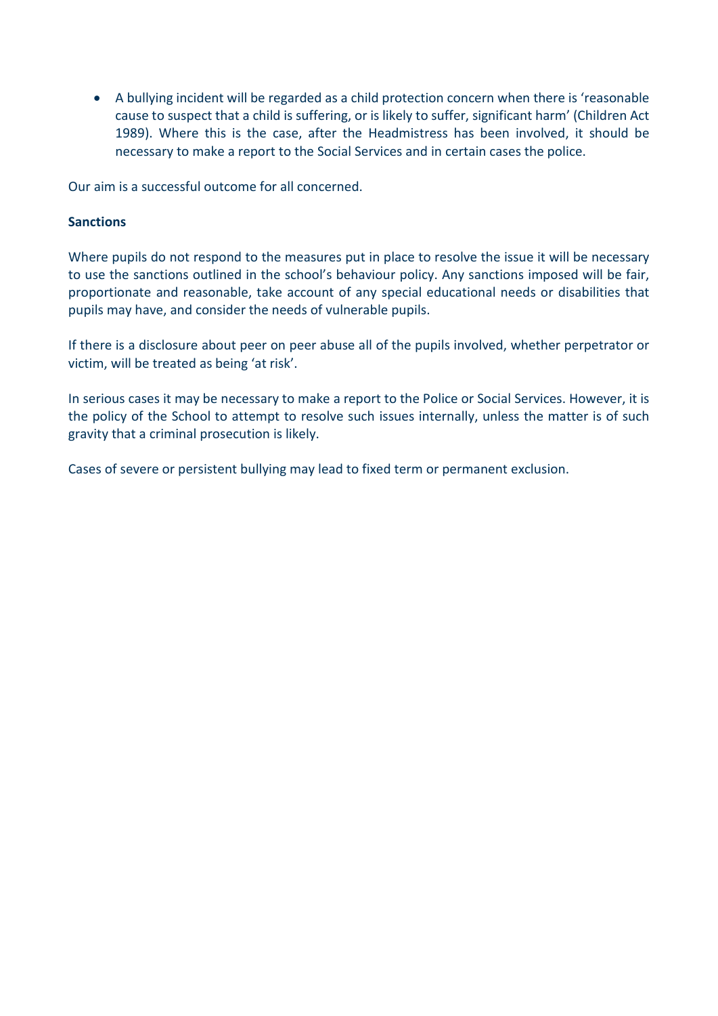• A bullying incident will be regarded as a child protection concern when there is 'reasonable cause to suspect that a child is suffering, or is likely to suffer, significant harm' (Children Act 1989). Where this is the case, after the Headmistress has been involved, it should be necessary to make a report to the Social Services and in certain cases the police.

Our aim is a successful outcome for all concerned.

#### **Sanctions**

Where pupils do not respond to the measures put in place to resolve the issue it will be necessary to use the sanctions outlined in the school's behaviour policy. Any sanctions imposed will be fair, proportionate and reasonable, take account of any special educational needs or disabilities that pupils may have, and consider the needs of vulnerable pupils.

If there is a disclosure about peer on peer abuse all of the pupils involved, whether perpetrator or victim, will be treated as being 'at risk'.

In serious cases it may be necessary to make a report to the Police or Social Services. However, it is the policy of the School to attempt to resolve such issues internally, unless the matter is of such gravity that a criminal prosecution is likely.

Cases of severe or persistent bullying may lead to fixed term or permanent exclusion.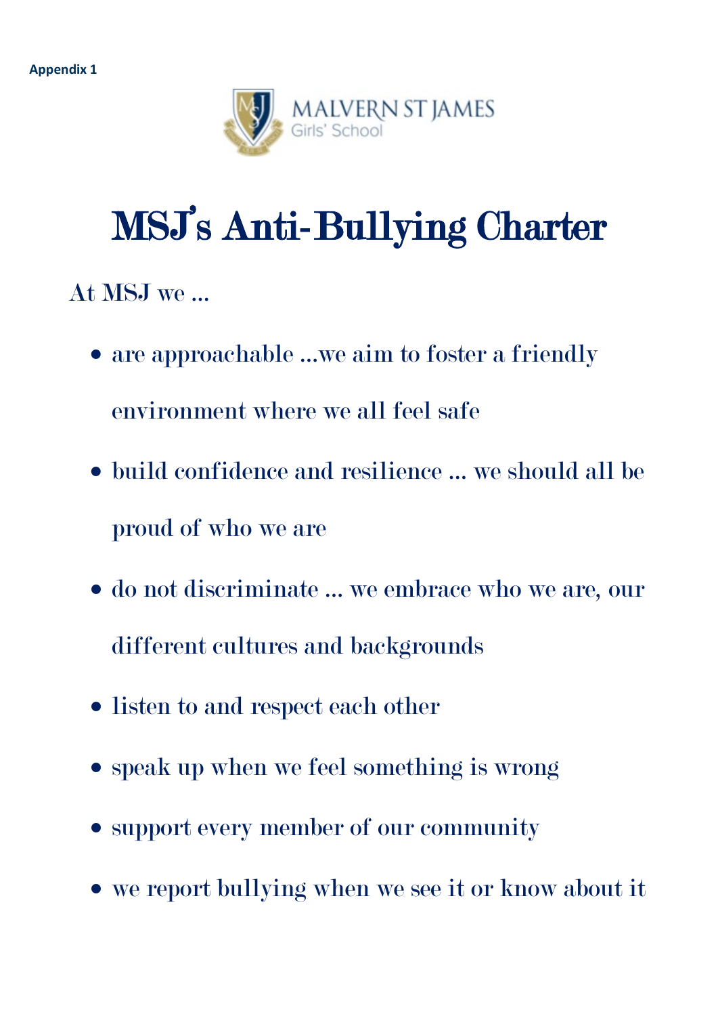

# MSJ's Anti-Bullying Charter

# At MSJ we …

- are approachable ...we aim to foster a friendly environment where we all feel safe
- build confidence and resilience … we should all be proud of who we are
- do not discriminate … we embrace who we are, our different cultures and backgrounds
- listen to and respect each other
- speak up when we feel something is wrong
- support every member of our community
- we report bullying when we see it or know about it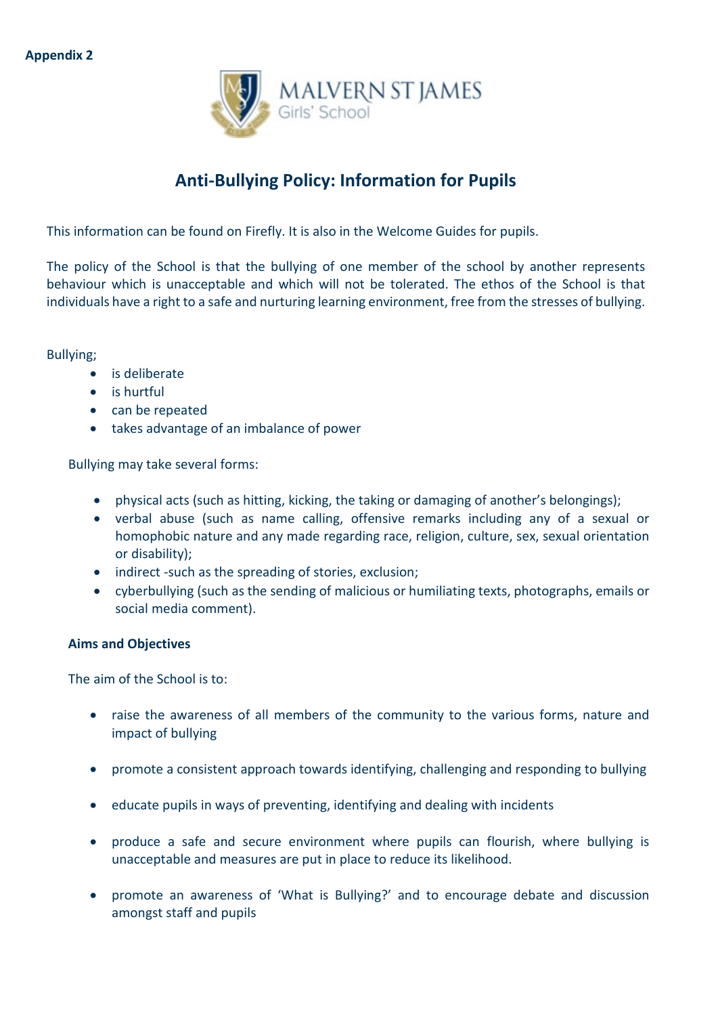

### **Anti-Bullying Policy: Information for Pupils**

This information can be found on Firefly. It is also in the Welcome Guides for pupils.

The policy of the School is that the bullying of one member of the school by another represents behaviour which is unacceptable and which will not be tolerated. The ethos of the School is that individuals have a right to a safe and nurturing learning environment, free from the stresses of bullying.

Bullying;

- is deliberate
- is hurtful
- can be repeated
- takes advantage of an imbalance of power

Bullying may take several forms:

- physical acts (such as hitting, kicking, the taking or damaging of another's belongings);
- verbal abuse (such as name calling, offensive remarks including any of a sexual or homophobic nature and any made regarding race, religion, culture, sex, sexual orientation or disability);
- indirect -such as the spreading of stories, exclusion;
- cyberbullying (such as the sending of malicious or humiliating texts, photographs, emails or social media comment).

#### **Aims and Objectives**

The aim of the School is to:

- raise the awareness of all members of the community to the various forms, nature and impact of bullying
- promote a consistent approach towards identifying, challenging and responding to bullying
- educate pupils in ways of preventing, identifying and dealing with incidents
- produce a safe and secure environment where pupils can flourish, where bullying is unacceptable and measures are put in place to reduce its likelihood.
- promote an awareness of 'What is Bullying?' and to encourage debate and discussion amongst staff and pupils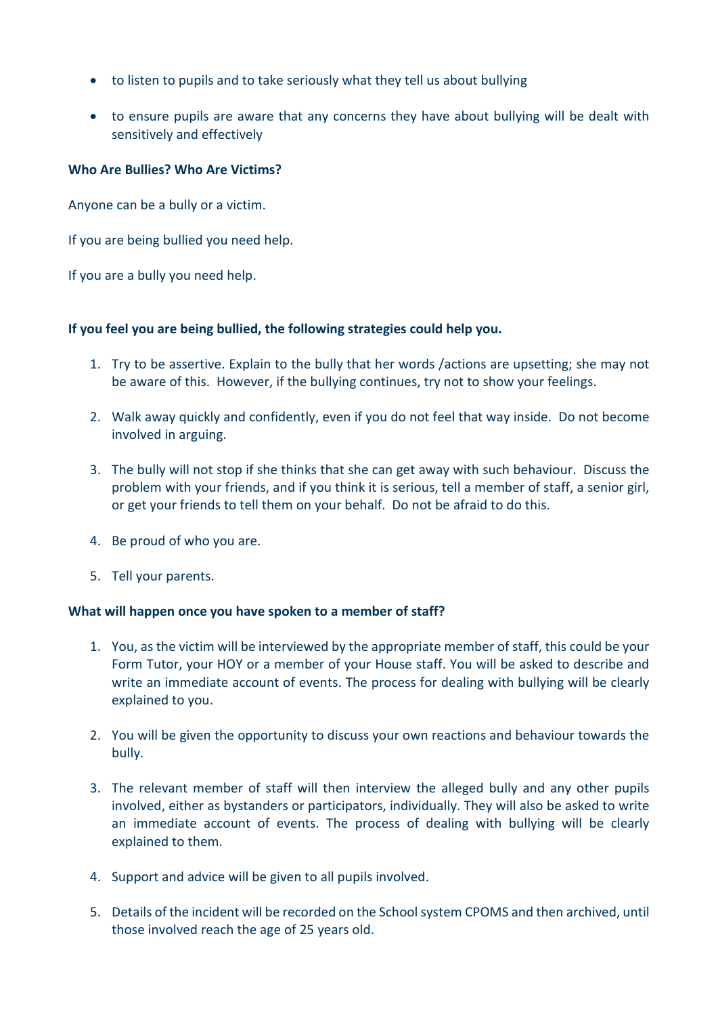- to listen to pupils and to take seriously what they tell us about bullying
- to ensure pupils are aware that any concerns they have about bullying will be dealt with sensitively and effectively

#### **Who Are Bullies? Who Are Victims?**

Anyone can be a bully or a victim.

If you are being bullied you need help.

If you are a bully you need help.

#### **If you feel you are being bullied, the following strategies could help you.**

- 1. Try to be assertive. Explain to the bully that her words /actions are upsetting; she may not be aware of this. However, if the bullying continues, try not to show your feelings.
- 2. Walk away quickly and confidently, even if you do not feel that way inside. Do not become involved in arguing.
- 3. The bully will not stop if she thinks that she can get away with such behaviour. Discuss the problem with your friends, and if you think it is serious, tell a member of staff, a senior girl, or get your friends to tell them on your behalf. Do not be afraid to do this.
- 4. Be proud of who you are.
- 5. Tell your parents.

#### **What will happen once you have spoken to a member of staff?**

- 1. You, as the victim will be interviewed by the appropriate member of staff, this could be your Form Tutor, your HOY or a member of your House staff. You will be asked to describe and write an immediate account of events. The process for dealing with bullying will be clearly explained to you.
- 2. You will be given the opportunity to discuss your own reactions and behaviour towards the bully.
- 3. The relevant member of staff will then interview the alleged bully and any other pupils involved, either as bystanders or participators, individually. They will also be asked to write an immediate account of events. The process of dealing with bullying will be clearly explained to them.
- 4. Support and advice will be given to all pupils involved.
- 5. Details of the incident will be recorded on the School system CPOMS and then archived, until those involved reach the age of 25 years old.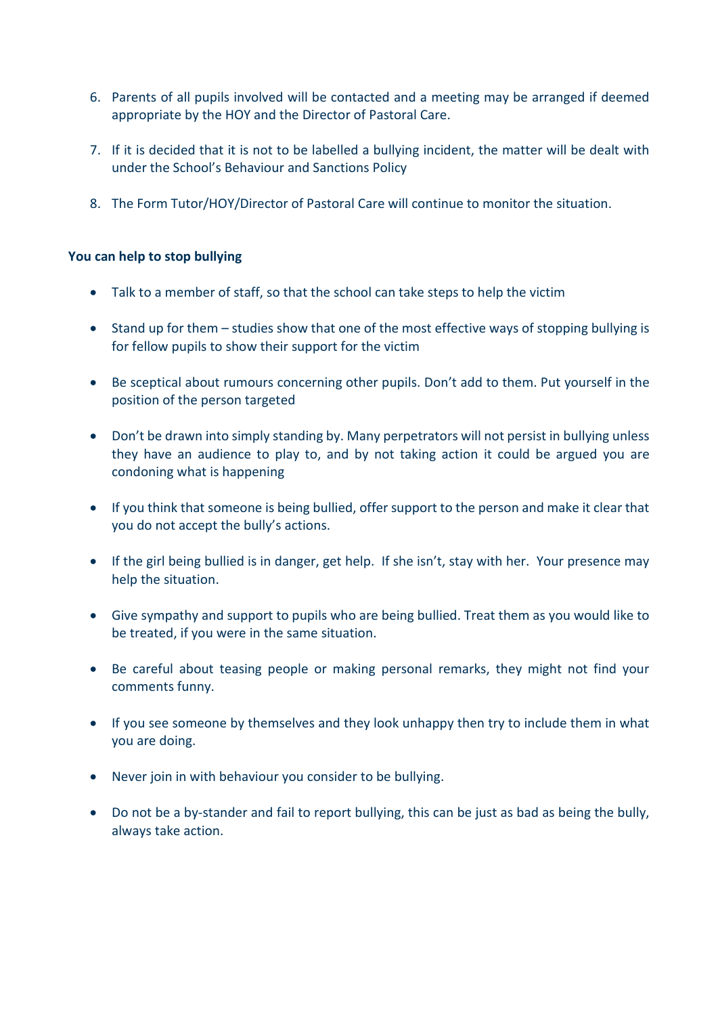- 6. Parents of all pupils involved will be contacted and a meeting may be arranged if deemed appropriate by the HOY and the Director of Pastoral Care.
- 7. If it is decided that it is not to be labelled a bullying incident, the matter will be dealt with under the School's Behaviour and Sanctions Policy
- 8. The Form Tutor/HOY/Director of Pastoral Care will continue to monitor the situation.

#### **You can help to stop bullying**

- Talk to a member of staff, so that the school can take steps to help the victim
- Stand up for them studies show that one of the most effective ways of stopping bullying is for fellow pupils to show their support for the victim
- Be sceptical about rumours concerning other pupils. Don't add to them. Put yourself in the position of the person targeted
- Don't be drawn into simply standing by. Many perpetrators will not persist in bullying unless they have an audience to play to, and by not taking action it could be argued you are condoning what is happening
- If you think that someone is being bullied, offer support to the person and make it clear that you do not accept the bully's actions.
- If the girl being bullied is in danger, get help. If she isn't, stay with her. Your presence may help the situation.
- Give sympathy and support to pupils who are being bullied. Treat them as you would like to be treated, if you were in the same situation.
- Be careful about teasing people or making personal remarks, they might not find your comments funny.
- If you see someone by themselves and they look unhappy then try to include them in what you are doing.
- Never join in with behaviour you consider to be bullying.
- Do not be a by-stander and fail to report bullying, this can be just as bad as being the bully, always take action.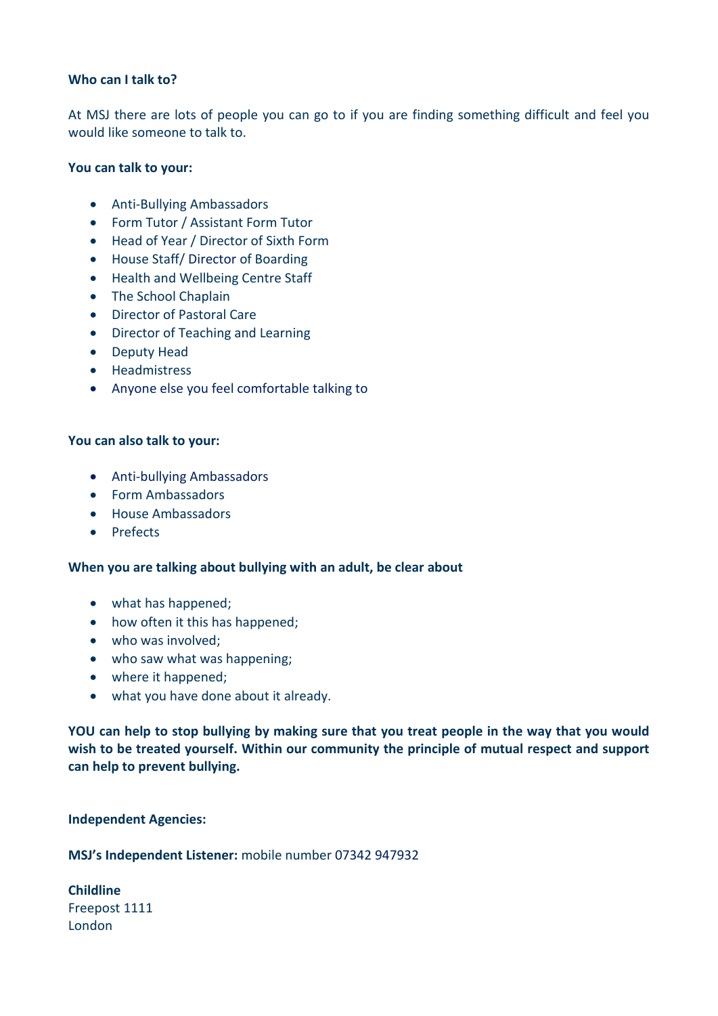#### **Who can I talk to?**

At MSJ there are lots of people you can go to if you are finding something difficult and feel you would like someone to talk to.

#### **You can talk to your:**

- Anti-Bullying Ambassadors
- Form Tutor / Assistant Form Tutor
- Head of Year / Director of Sixth Form
- House Staff/ Director of Boarding
- Health and Wellbeing Centre Staff
- The School Chaplain
- Director of Pastoral Care
- Director of Teaching and Learning
- Deputy Head
- Headmistress
- Anyone else you feel comfortable talking to

#### **You can also talk to your:**

- Anti-bullying Ambassadors
- Form Ambassadors
- House Ambassadors
- Prefects

#### **When you are talking about bullying with an adult, be clear about**

- what has happened;
- how often it this has happened;
- who was involved;
- who saw what was happening;
- where it happened;
- what you have done about it already.

**YOU can help to stop bullying by making sure that you treat people in the way that you would wish to be treated yourself. Within our community the principle of mutual respect and support can help to prevent bullying.**

**Independent Agencies:**

**MSJ's Independent Listener:** mobile number 07342 947932

**Childline**  Freepost 1111 London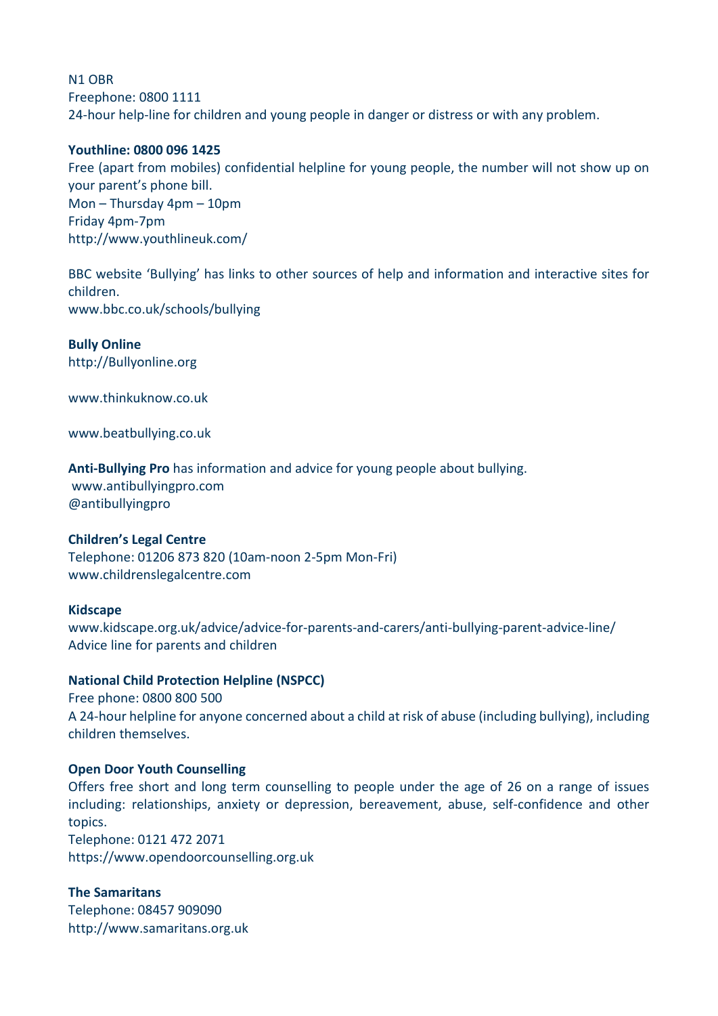N1 OBR Freephone: 0800 1111 24-hour help-line for children and young people in danger or distress or with any problem.

#### **Youthline: 0800 096 1425**

Free (apart from mobiles) confidential helpline for young people, the number will not show up on your parent's phone bill. Mon – Thursday 4pm – 10pm Friday 4pm-7pm http://www.youthlineuk.com/

BBC website 'Bullying' has links to other sources of help and information and interactive sites for children. [www.bbc.co.uk/schools/bullying](http://www.bbc.co.uk/schools/bullying) 

**Bully Online** 

[http://Bullyonline.org](http://bullyonline.org/)

[www.thinkuknow.co.uk](http://www.thinkuknow.co.uk/)

[www.beatbullying.co.uk](http://www.beatbullying.co.uk/)

**Anti-Bullying Pro** has information and advice for young people about bullying.

[www.antibullyingpro.com](http://www.antibullyingpro.com/) @antibullyingpro

#### **Children's Legal Centre**

Telephone: 01206 873 820 (10am-noon 2-5pm Mon-Fri) [www.childrenslegalcentre.com](http://www.childrenslegalcentre.com/)

#### **Kidscape**

[www.kidscape.org.uk/advice/advice-for-parents-and-carers/anti-bullying-parent-advice-line/](http://www.kidscape.org.uk/advice/advice-for-parents-and-carers/anti-bullying-parent-advice-line/) Advice line for parents and children

#### **National Child Protection Helpline (NSPCC)**

Free phone: 0800 800 500 A 24-hour helpline for anyone concerned about a child at risk of abuse (including bullying), including children themselves.

#### **Open Door Youth Counselling**

Offers free short and long term counselling to people under the age of 26 on a range of issues including: relationships, anxiety or depression, bereavement, abuse, self-confidence and other topics. Telephone: 0121 472 2071 [https://www.opendoorcounselling.org.uk](https://www.opendoorcounselling.org.uk/)

**The Samaritans**  Telephone: 08457 909090 [http://www.samaritans.org.uk](http://www.samaritans.org.uk/)